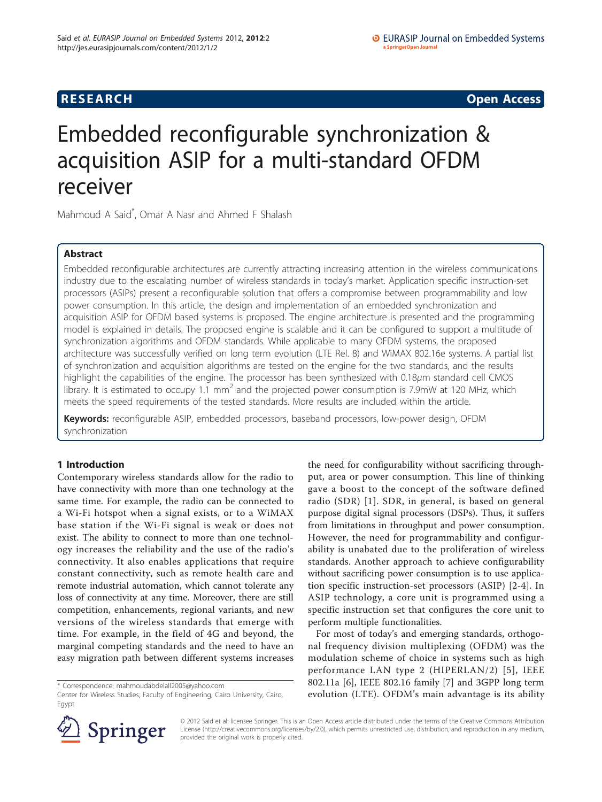**RESEARCH CONSTRUCTION CONSTRUCTS** 

# Embedded reconfigurable synchronization & acquisition ASIP for a multi-standard OFDM receiver

Mahmoud A Said\* , Omar A Nasr and Ahmed F Shalash

# Abstract

Embedded reconfigurable architectures are currently attracting increasing attention in the wireless communications industry due to the escalating number of wireless standards in today's market. Application specific instruction-set processors (ASIPs) present a reconfigurable solution that offers a compromise between programmability and low power consumption. In this article, the design and implementation of an embedded synchronization and acquisition ASIP for OFDM based systems is proposed. The engine architecture is presented and the programming model is explained in details. The proposed engine is scalable and it can be configured to support a multitude of synchronization algorithms and OFDM standards. While applicable to many OFDM systems, the proposed architecture was successfully verified on long term evolution (LTE Rel. 8) and WiMAX 802.16e systems. A partial list of synchronization and acquisition algorithms are tested on the engine for the two standards, and the results highlight the capabilities of the engine. The processor has been synthesized with 0.18µm standard cell CMOS library. It is estimated to occupy 1.1  $mm^2$  and the projected power consumption is 7.9mW at 120 MHz, which meets the speed requirements of the tested standards. More results are included within the article.

Keywords: reconfigurable ASIP, embedded processors, baseband processors, low-power design, OFDM synchronization

# 1 Introduction

Contemporary wireless standards allow for the radio to have connectivity with more than one technology at the same time. For example, the radio can be connected to a Wi-Fi hotspot when a signal exists, or to a WiMAX base station if the Wi-Fi signal is weak or does not exist. The ability to connect to more than one technology increases the reliability and the use of the radio's connectivity. It also enables applications that require constant connectivity, such as remote health care and remote industrial automation, which cannot tolerate any loss of connectivity at any time. Moreover, there are still competition, enhancements, regional variants, and new versions of the wireless standards that emerge with time. For example, in the field of 4G and beyond, the marginal competing standards and the need to have an easy migration path between different systems increases

the need for configurability without sacrificing throughput, area or power consumption. This line of thinking gave a boost to the concept of the software defined radio (SDR) [[1](#page-15-0)]. SDR, in general, is based on general purpose digital signal processors (DSPs). Thus, it suffers from limitations in throughput and power consumption. However, the need for programmability and configurability is unabated due to the proliferation of wireless standards. Another approach to achieve configurability without sacrificing power consumption is to use application specific instruction-set processors (ASIP) [[2-4\]](#page-15-0). In ASIP technology, a core unit is programmed using a specific instruction set that configures the core unit to perform multiple functionalities.

For most of today's and emerging standards, orthogonal frequency division multiplexing (OFDM) was the modulation scheme of choice in systems such as high performance LAN type 2 (HIPERLAN/2) [[5\]](#page-15-0), IEEE 802.11a [[6](#page-15-0)], IEEE 802.16 family [\[7](#page-15-0)] and 3GPP long term evolution (LTE). OFDM's main advantage is its ability



© 2012 Said et al; licensee Springer. This is an Open Access article distributed under the terms of the Creative Commons Attribution License [\(http://creativecommons.org/licenses/by/2.0](http://creativecommons.org/licenses/by/2.0)), which permits unrestricted use, distribution, and reproduction in any medium, provided the original work is properly cited.

<sup>\*</sup> Correspondence: [mahmoudabdelall2005@yahoo.com](mailto:mahmoudabdelall2005@yahoo.com)

Center for Wireless Studies, Faculty of Engineering, Cairo University, Cairo, Egypt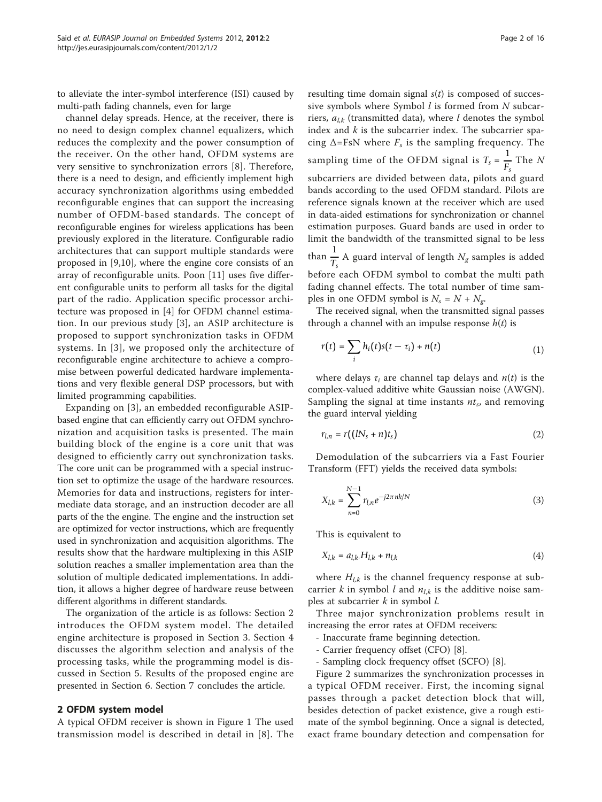to alleviate the inter-symbol interference (ISI) caused by multi-path fading channels, even for large

channel delay spreads. Hence, at the receiver, there is no need to design complex channel equalizers, which reduces the complexity and the power consumption of the receiver. On the other hand, OFDM systems are very sensitive to synchronization errors [\[8](#page-15-0)]. Therefore, there is a need to design, and efficiently implement high accuracy synchronization algorithms using embedded reconfigurable engines that can support the increasing number of OFDM-based standards. The concept of reconfigurable engines for wireless applications has been previously explored in the literature. Configurable radio architectures that can support multiple standards were proposed in [\[9](#page-15-0),[10](#page-15-0)], where the engine core consists of an array of reconfigurable units. Poon [[11](#page-15-0)] uses five different configurable units to perform all tasks for the digital part of the radio. Application specific processor architecture was proposed in [\[4](#page-15-0)] for OFDM channel estimation. In our previous study [[3\]](#page-15-0), an ASIP architecture is proposed to support synchronization tasks in OFDM systems. In [[3\]](#page-15-0), we proposed only the architecture of reconfigurable engine architecture to achieve a compromise between powerful dedicated hardware implementations and very flexible general DSP processors, but with limited programming capabilities.

Expanding on [\[3](#page-15-0)], an embedded reconfigurable ASIPbased engine that can efficiently carry out OFDM synchronization and acquisition tasks is presented. The main building block of the engine is a core unit that was designed to efficiently carry out synchronization tasks. The core unit can be programmed with a special instruction set to optimize the usage of the hardware resources. Memories for data and instructions, registers for intermediate data storage, and an instruction decoder are all parts of the the engine. The engine and the instruction set are optimized for vector instructions, which are frequently used in synchronization and acquisition algorithms. The results show that the hardware multiplexing in this ASIP solution reaches a smaller implementation area than the solution of multiple dedicated implementations. In addition, it allows a higher degree of hardware reuse between different algorithms in different standards.

The organization of the article is as follows: Section 2 introduces the OFDM system model. The detailed engine architecture is proposed in Section 3. Section 4 discusses the algorithm selection and analysis of the processing tasks, while the programming model is discussed in Section 5. Results of the proposed engine are presented in Section 6. Section 7 concludes the article.

#### 2 OFDM system model

A typical OFDM receiver is shown in Figure [1](#page-2-0) The used transmission model is described in detail in [[8](#page-15-0)]. The resulting time domain signal  $s(t)$  is composed of successive symbols where Symbol  $l$  is formed from  $N$  subcarriers,  $a_{l,k}$  (transmitted data), where *l* denotes the symbol index and  $k$  is the subcarrier index. The subcarrier spacing  $\Delta =$ FsN where  $F_s$  is the sampling frequency. The sampling time of the OFDM signal is  $T_s = \frac{1}{F_s}$  The N subcarriers are divided between data, pilots and guard bands according to the used OFDM standard. Pilots are reference signals known at the receiver which are used in data-aided estimations for synchronization or channel estimation purposes. Guard bands are used in order to limit the bandwidth of the transmitted signal to be less than  $\frac{1}{T_s}$  A guard interval of length  $N_g$  samples is added before each OFDM symbol to combat the multi path fading channel effects. The total number of time samples in one OFDM symbol is  $N_s = N + N_{gr}$ .

The received signal, when the transmitted signal passes through a channel with an impulse response  $h(t)$  is

$$
r(t) = \sum_{i} h_i(t) s(t - \tau_i) + n(t)
$$
\n(1)

where delays  $\tau_i$  are channel tap delays and  $n(t)$  is the complex-valued additive white Gaussian noise (AWGN). Sampling the signal at time instants  $nt_s$ , and removing the guard interval yielding

$$
r_{l,n} = r((lN_s + n)t_s)
$$
 (2)

Demodulation of the subcarriers via a Fast Fourier Transform (FFT) yields the received data symbols:

$$
X_{l,k} = \sum_{n=0}^{N-1} r_{l,n} e^{-j2\pi nk/N}
$$
 (3)

This is equivalent to

$$
X_{l,k} = a_{l,k}.H_{l,k} + n_{l,k}
$$
 (4)

where  $H_{l,k}$  is the channel frequency response at subcarrier k in symbol l and  $n_{l,k}$  is the additive noise samples at subcarrier  $k$  in symbol  $l$ .

Three major synchronization problems result in increasing the error rates at OFDM receivers:

- Inaccurate frame beginning detection.
- Carrier frequency offset (CFO) [\[8\]](#page-15-0).
- Sampling clock frequency offset (SCFO) [[8](#page-15-0)].

Figure [2](#page-2-0) summarizes the synchronization processes in a typical OFDM receiver. First, the incoming signal passes through a packet detection block that will, besides detection of packet existence, give a rough estimate of the symbol beginning. Once a signal is detected, exact frame boundary detection and compensation for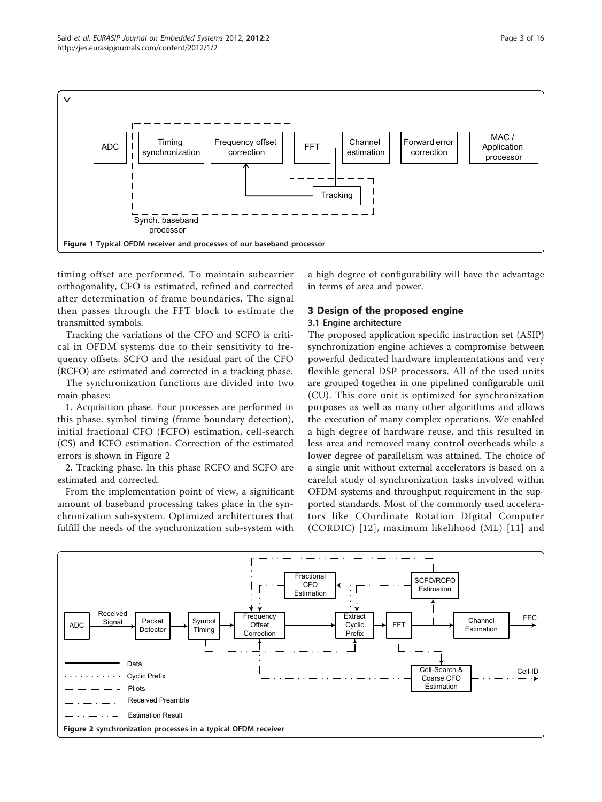

<span id="page-2-0"></span>

timing offset are performed. To maintain subcarrier orthogonality, CFO is estimated, refined and corrected after determination of frame boundaries. The signal then passes through the FFT block to estimate the transmitted symbols.

Tracking the variations of the CFO and SCFO is critical in OFDM systems due to their sensitivity to frequency offsets. SCFO and the residual part of the CFO (RCFO) are estimated and corrected in a tracking phase.

The synchronization functions are divided into two main phases:

1. Acquisition phase. Four processes are performed in this phase: symbol timing (frame boundary detection), initial fractional CFO (FCFO) estimation, cell-search (CS) and ICFO estimation. Correction of the estimated errors is shown in Figure 2

2. Tracking phase. In this phase RCFO and SCFO are estimated and corrected.

From the implementation point of view, a significant amount of baseband processing takes place in the synchronization sub-system. Optimized architectures that fulfill the needs of the synchronization sub-system with

a high degree of configurability will have the advantage in terms of area and power.

## 3 Design of the proposed engine 3.1 Engine architecture

The proposed application specific instruction set (ASIP) synchronization engine achieves a compromise between powerful dedicated hardware implementations and very flexible general DSP processors. All of the used units are grouped together in one pipelined configurable unit (CU). This core unit is optimized for synchronization purposes as well as many other algorithms and allows the execution of many complex operations. We enabled a high degree of hardware reuse, and this resulted in less area and removed many control overheads while a lower degree of parallelism was attained. The choice of a single unit without external accelerators is based on a careful study of synchronization tasks involved within OFDM systems and throughput requirement in the supported standards. Most of the commonly used accelerators like COordinate Rotation DIgital Computer (CORDIC) [[12](#page-15-0)], maximum likelihood (ML) [[11\]](#page-15-0) and

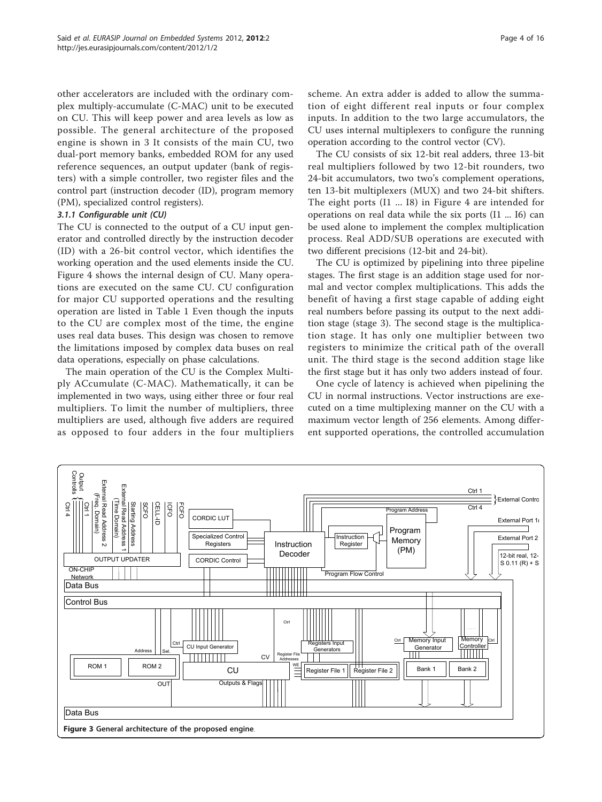<span id="page-3-0"></span>other accelerators are included with the ordinary complex multiply-accumulate (C-MAC) unit to be executed on CU. This will keep power and area levels as low as possible. The general architecture of the proposed engine is shown in 3 It consists of the main CU, two dual-port memory banks, embedded ROM for any used reference sequences, an output updater (bank of registers) with a simple controller, two register files and the control part (instruction decoder (ID), program memory (PM), specialized control registers).

The CU is connected to the output of a CU input generator and controlled directly by the instruction decoder (ID) with a 26-bit control vector, which identifies the working operation and the used elements inside the CU. Figure [4](#page-4-0) shows the internal design of CU. Many operations are executed on the same CU. CU configuration for major CU supported operations and the resulting operation are listed in Table [1](#page-4-0) Even though the inputs to the CU are complex most of the time, the engine uses real data buses. This design was chosen to remove the limitations imposed by complex data buses on real data operations, especially on phase calculations.

The main operation of the CU is the Complex Multiply ACcumulate (C-MAC). Mathematically, it can be implemented in two ways, using either three or four real multipliers. To limit the number of multipliers, three multipliers are used, although five adders are required as opposed to four adders in the four multipliers scheme. An extra adder is added to allow the summation of eight different real inputs or four complex inputs. In addition to the two large accumulators, the CU uses internal multiplexers to configure the running operation according to the control vector (CV).

The CU consists of six 12-bit real adders, three 13-bit real multipliers followed by two 12-bit rounders, two 24-bit accumulators, two two's complement operations, ten 13-bit multiplexers (MUX) and two 24-bit shifters. The eight ports (I1 ... I8) in Figure [4](#page-4-0) are intended for operations on real data while the six ports (I1 ... I6) can be used alone to implement the complex multiplication process. Real ADD/SUB operations are executed with two different precisions (12-bit and 24-bit).

The CU is optimized by pipelining into three pipeline stages. The first stage is an addition stage used for normal and vector complex multiplications. This adds the benefit of having a first stage capable of adding eight real numbers before passing its output to the next addition stage (stage 3). The second stage is the multiplication stage. It has only one multiplier between two registers to minimize the critical path of the overall unit. The third stage is the second addition stage like the first stage but it has only two adders instead of four.

One cycle of latency is achieved when pipelining the CU in normal instructions. Vector instructions are executed on a time multiplexing manner on the CU with a maximum vector length of 256 elements. Among different supported operations, the controlled accumulation

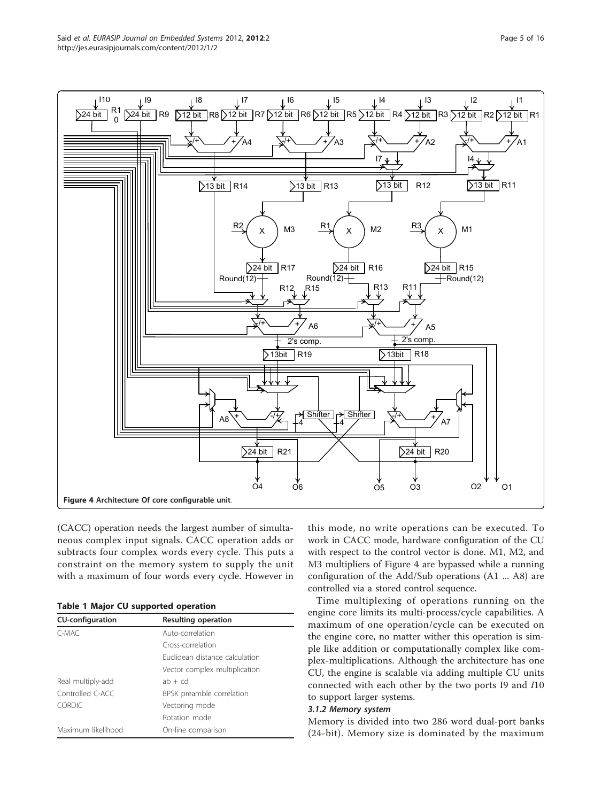<span id="page-4-0"></span>

(CACC) operation needs the largest number of simultaneous complex input signals. CACC operation adds or subtracts four complex words every cycle. This puts a constraint on the memory system to supply the unit with a maximum of four words every cycle. However in

Table 1 Major CU supported operation

| <b>CU-configuration</b> | <b>Resulting operation</b>     |
|-------------------------|--------------------------------|
| C-MAC                   | Auto-correlation               |
|                         | Cross-correlation              |
|                         | Euclidean distance calculation |
|                         | Vector complex multiplication  |
| Real multiply-add       | $ab + cd$                      |
| Controlled C-ACC        | BPSK preamble correlation      |
| CORDIC                  | Vectoring mode                 |
|                         | Rotation mode                  |
| Maximum likelihood      | On-line comparison             |

this mode, no write operations can be executed. To work in CACC mode, hardware configuration of the CU with respect to the control vector is done. M1, M2, and M3 multipliers of Figure 4 are bypassed while a running configuration of the Add/Sub operations (A1 ... A8) are controlled via a stored control sequence.

Time multiplexing of operations running on the engine core limits its multi-process/cycle capabilities. A maximum of one operation/cycle can be executed on the engine core, no matter wither this operation is simple like addition or computationally complex like complex-multiplications. Although the architecture has one CU, the engine is scalable via adding multiple CU units connected with each other by the two ports I9 and I<sup>10</sup> to support larger systems.

3.1.2 Memory system Memory is divided into two 286 word dual-port banks (24-bit). Memory size is dominated by the maximum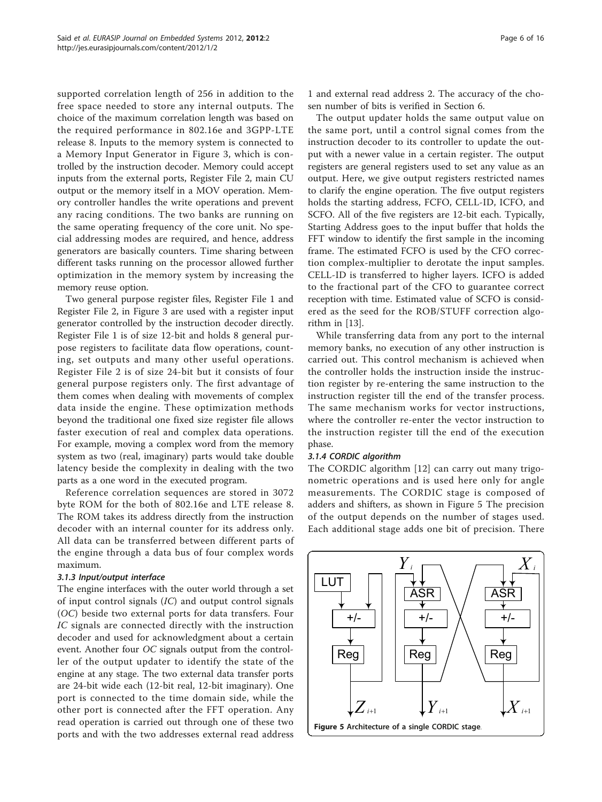supported correlation length of 256 in addition to the free space needed to store any internal outputs. The choice of the maximum correlation length was based on the required performance in 802.16e and 3GPP-LTE release 8. Inputs to the memory system is connected to a Memory Input Generator in Figure [3](#page-3-0), which is controlled by the instruction decoder. Memory could accept inputs from the external ports, Register File 2, main CU output or the memory itself in a MOV operation. Memory controller handles the write operations and prevent any racing conditions. The two banks are running on the same operating frequency of the core unit. No special addressing modes are required, and hence, address generators are basically counters. Time sharing between different tasks running on the processor allowed further optimization in the memory system by increasing the memory reuse option.

Two general purpose register files, Register File 1 and Register File 2, in Figure [3](#page-3-0) are used with a register input generator controlled by the instruction decoder directly. Register File 1 is of size 12-bit and holds 8 general purpose registers to facilitate data flow operations, counting, set outputs and many other useful operations. Register File 2 is of size 24-bit but it consists of four general purpose registers only. The first advantage of them comes when dealing with movements of complex data inside the engine. These optimization methods beyond the traditional one fixed size register file allows faster execution of real and complex data operations. For example, moving a complex word from the memory system as two (real, imaginary) parts would take double latency beside the complexity in dealing with the two parts as a one word in the executed program.

Reference correlation sequences are stored in 3072 byte ROM for the both of 802.16e and LTE release 8. The ROM takes its address directly from the instruction decoder with an internal counter for its address only. All data can be transferred between different parts of the engine through a data bus of four complex words maximum.

The engine interfaces with the outer world through a set of input control signals (IC) and output control signals (OC) beside two external ports for data transfers. Four IC signals are connected directly with the instruction decoder and used for acknowledgment about a certain event. Another four OC signals output from the controller of the output updater to identify the state of the engine at any stage. The two external data transfer ports are 24-bit wide each (12-bit real, 12-bit imaginary). One port is connected to the time domain side, while the other port is connected after the FFT operation. Any read operation is carried out through one of these two ports and with the two addresses external read address

sen number of bits is verified in Section 6. The output updater holds the same output value on the same port, until a control signal comes from the instruction decoder to its controller to update the output with a newer value in a certain register. The output registers are general registers used to set any value as an output. Here, we give output registers restricted names to clarify the engine operation. The five output registers holds the starting address, FCFO, CELL-ID, ICFO, and SCFO. All of the five registers are 12-bit each. Typically, Starting Address goes to the input buffer that holds the FFT window to identify the first sample in the incoming frame. The estimated FCFO is used by the CFO correction complex-multiplier to derotate the input samples. CELL-ID is transferred to higher layers. ICFO is added to the fractional part of the CFO to guarantee correct reception with time. Estimated value of SCFO is considered as the seed for the ROB/STUFF correction algo-

1 and external read address 2. The accuracy of the cho-

rithm in [\[13\]](#page-15-0). While transferring data from any port to the internal memory banks, no execution of any other instruction is carried out. This control mechanism is achieved when the controller holds the instruction inside the instruction register by re-entering the same instruction to the instruction register till the end of the transfer process. The same mechanism works for vector instructions, where the controller re-enter the vector instruction to the instruction register till the end of the execution phase.

The CORDIC algorithm [[12](#page-15-0)] can carry out many trigonometric operations and is used here only for angle measurements. The CORDIC stage is composed of adders and shifters, as shown in Figure 5 The precision of the output depends on the number of stages used. Each additional stage adds one bit of precision. There

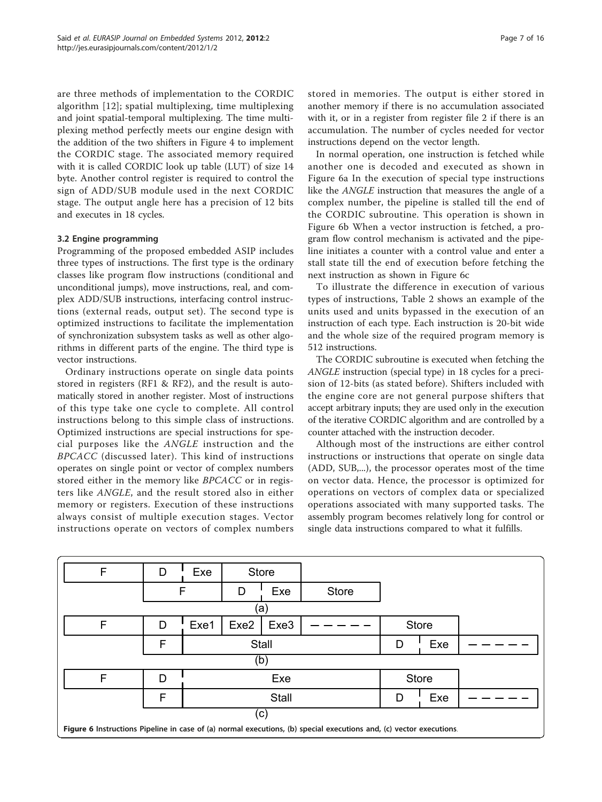are three methods of implementation to the CORDIC algorithm [[12](#page-15-0)]; spatial multiplexing, time multiplexing and joint spatial-temporal multiplexing. The time multiplexing method perfectly meets our engine design with the addition of the two shifters in Figure [4](#page-4-0) to implement the CORDIC stage. The associated memory required with it is called CORDIC look up table (LUT) of size 14 byte. Another control register is required to control the sign of ADD/SUB module used in the next CORDIC stage. The output angle here has a precision of 12 bits and executes in 18 cycles.

### 3.2 Engine programming

Programming of the proposed embedded ASIP includes three types of instructions. The first type is the ordinary classes like program flow instructions (conditional and unconditional jumps), move instructions, real, and complex ADD/SUB instructions, interfacing control instructions (external reads, output set). The second type is optimized instructions to facilitate the implementation of synchronization subsystem tasks as well as other algorithms in different parts of the engine. The third type is vector instructions.

Ordinary instructions operate on single data points stored in registers (RF1 & RF2), and the result is automatically stored in another register. Most of instructions of this type take one cycle to complete. All control instructions belong to this simple class of instructions. Optimized instructions are special instructions for special purposes like the ANGLE instruction and the BPCACC (discussed later). This kind of instructions operates on single point or vector of complex numbers stored either in the memory like BPCACC or in registers like ANGLE, and the result stored also in either memory or registers. Execution of these instructions always consist of multiple execution stages. Vector instructions operate on vectors of complex numbers stored in memories. The output is either stored in another memory if there is no accumulation associated with it, or in a register from register file 2 if there is an accumulation. The number of cycles needed for vector instructions depend on the vector length.

In normal operation, one instruction is fetched while another one is decoded and executed as shown in Figure 6a In the execution of special type instructions like the ANGLE instruction that measures the angle of a complex number, the pipeline is stalled till the end of the CORDIC subroutine. This operation is shown in Figure 6b When a vector instruction is fetched, a program flow control mechanism is activated and the pipeline initiates a counter with a control value and enter a stall state till the end of execution before fetching the next instruction as shown in Figure 6c

To illustrate the difference in execution of various types of instructions, Table [2](#page-7-0) shows an example of the units used and units bypassed in the execution of an instruction of each type. Each instruction is 20-bit wide and the whole size of the required program memory is 512 instructions.

The CORDIC subroutine is executed when fetching the ANGLE instruction (special type) in 18 cycles for a precision of 12-bits (as stated before). Shifters included with the engine core are not general purpose shifters that accept arbitrary inputs; they are used only in the execution of the iterative CORDIC algorithm and are controlled by a counter attached with the instruction decoder.

Although most of the instructions are either control instructions or instructions that operate on single data (ADD, SUB,...), the processor operates most of the time on vector data. Hence, the processor is optimized for operations on vectors of complex data or specialized operations associated with many supported tasks. The assembly program becomes relatively long for control or single data instructions compared to what it fulfills.

| F                                                                                                                   | D   | Exe   |                     | <b>Store</b> |       |   |              |  |
|---------------------------------------------------------------------------------------------------------------------|-----|-------|---------------------|--------------|-------|---|--------------|--|
|                                                                                                                     |     | F     | Exe<br>D            |              | Store |   |              |  |
|                                                                                                                     | (a) |       |                     |              |       |   |              |  |
| F                                                                                                                   | D   | Exe1  | Exe2                | Exe3         |       |   | <b>Store</b> |  |
|                                                                                                                     | F   | Stall |                     |              |       | D | Exe          |  |
| (b)                                                                                                                 |     |       |                     |              |       |   |              |  |
| F                                                                                                                   | D   |       | Exe<br><b>Store</b> |              |       |   |              |  |
|                                                                                                                     | F   |       |                     | Stall        |       | D | Exe          |  |
| $\left( c\right)$                                                                                                   |     |       |                     |              |       |   |              |  |
| Figure 6 Instructions Pipeline in case of (a) normal executions, (b) special executions and, (c) vector executions. |     |       |                     |              |       |   |              |  |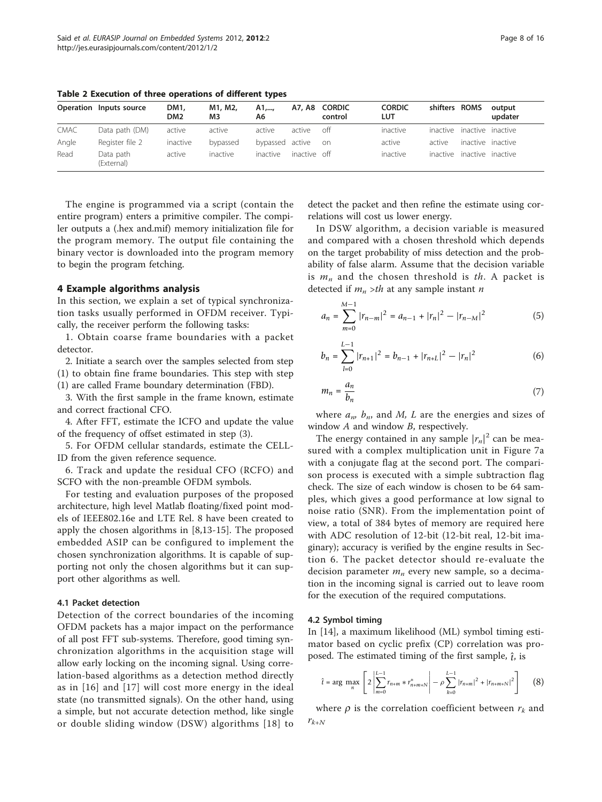|             | Operation Inputs source | DM <sub>1</sub><br>DM <sub>2</sub> | M1, M2,<br>M3 | A1,,<br>A6      |              | A7, A8 CORDIC<br>control | <b>CORDIC</b><br>LUT | shifters ROMS |                   | output<br>updater |
|-------------|-------------------------|------------------------------------|---------------|-----------------|--------------|--------------------------|----------------------|---------------|-------------------|-------------------|
| <b>CMAC</b> | Data path (DM)          | active                             | active        | active          | active       | off                      | inactive             | inactive      | inactive inactive |                   |
| Angle       | Register file 2         | inactive                           | bypassed      | bypassed active |              | .on                      | active               | active        |                   | inactive inactive |
| Read        | Data path<br>(External) | active                             | inactive      | inactive        | inactive off |                          | inactive             | inactive      | inactive inactive |                   |

<span id="page-7-0"></span>Table 2 Execution of three operations of different types

The engine is programmed via a script (contain the entire program) enters a primitive compiler. The compiler outputs a (.hex and.mif) memory initialization file for the program memory. The output file containing the binary vector is downloaded into the program memory to begin the program fetching.

### 4 Example algorithms analysis

In this section, we explain a set of typical synchronization tasks usually performed in OFDM receiver. Typically, the receiver perform the following tasks:

1. Obtain coarse frame boundaries with a packet detector.

2. Initiate a search over the samples selected from step (1) to obtain fine frame boundaries. This step with step (1) are called Frame boundary determination (FBD).

3. With the first sample in the frame known, estimate and correct fractional CFO.

4. After FFT, estimate the ICFO and update the value of the frequency of offset estimated in step (3).

5. For OFDM cellular standards, estimate the CELL-ID from the given reference sequence.

6. Track and update the residual CFO (RCFO) and SCFO with the non-preamble OFDM symbols.

For testing and evaluation purposes of the proposed architecture, high level Matlab floating/fixed point models of IEEE802.16e and LTE Rel. 8 have been created to apply the chosen algorithms in [[8,13](#page-15-0)-[15\]](#page-15-0). The proposed embedded ASIP can be configured to implement the chosen synchronization algorithms. It is capable of supporting not only the chosen algorithms but it can support other algorithms as well.

#### 4.1 Packet detection

Detection of the correct boundaries of the incoming OFDM packets has a major impact on the performance of all post FFT sub-systems. Therefore, good timing synchronization algorithms in the acquisition stage will allow early locking on the incoming signal. Using correlation-based algorithms as a detection method directly as in [[16\]](#page-15-0) and [[17](#page-15-0)] will cost more energy in the ideal state (no transmitted signals). On the other hand, using a simple, but not accurate detection method, like single or double sliding window (DSW) algorithms [[18\]](#page-15-0) to

detect the packet and then refine the estimate using correlations will cost us lower energy.

In DSW algorithm, a decision variable is measured and compared with a chosen threshold which depends on the target probability of miss detection and the probability of false alarm. Assume that the decision variable is  $m_n$  and the chosen threshold is th. A packet is detected if  $m_n$  >th at any sample instant n

$$
a_n = \sum_{m=0}^{M-1} |r_{n-m}|^2 = a_{n-1} + |r_n|^2 - |r_{n-M}|^2 \tag{5}
$$

$$
b_n = \sum_{l=0}^{L-1} |r_{n+1}|^2 = b_{n-1} + |r_{n+L}|^2 - |r_n|^2 \tag{6}
$$

$$
m_n = \frac{a_n}{b_n} \tag{7}
$$

where  $a_n$ ,  $b_n$ , and M, L are the energies and sizes of window A and window B, respectively.

The energy contained in any sample  $|r_n|^2$  can be mea-<br>und with a complex multiplication unit in Figure 7a sured with a complex multiplication unit in Figure [7a](#page-8-0) with a conjugate flag at the second port. The comparison process is executed with a simple subtraction flag check. The size of each window is chosen to be 64 samples, which gives a good performance at low signal to noise ratio (SNR). From the implementation point of view, a total of 384 bytes of memory are required here with ADC resolution of 12-bit (12-bit real, 12-bit imaginary); accuracy is verified by the engine results in Section 6. The packet detector should re-evaluate the decision parameter  $m_n$  every new sample, so a decimation in the incoming signal is carried out to leave room for the execution of the required computations.

#### 4.2 Symbol timing

In [[14\]](#page-15-0), a maximum likelihood (ML) symbol timing estimator based on cyclic prefix (CP) correlation was proposed. The estimated timing of the first sample,  $\hat{t}$ , is

$$
\hat{t} = \arg \max_{n} \left[ 2 \left| \sum_{m=0}^{L-1} r_{n+m} * r_{n+m+N}^{*} \right| - \rho \sum_{k=0}^{L-1} |r_{n+m}|^2 + |r_{n+m+N}|^2 \right] \tag{8}
$$

where  $\rho$  is the correlation coefficient between  $r_k$  and  $r_{k+N}$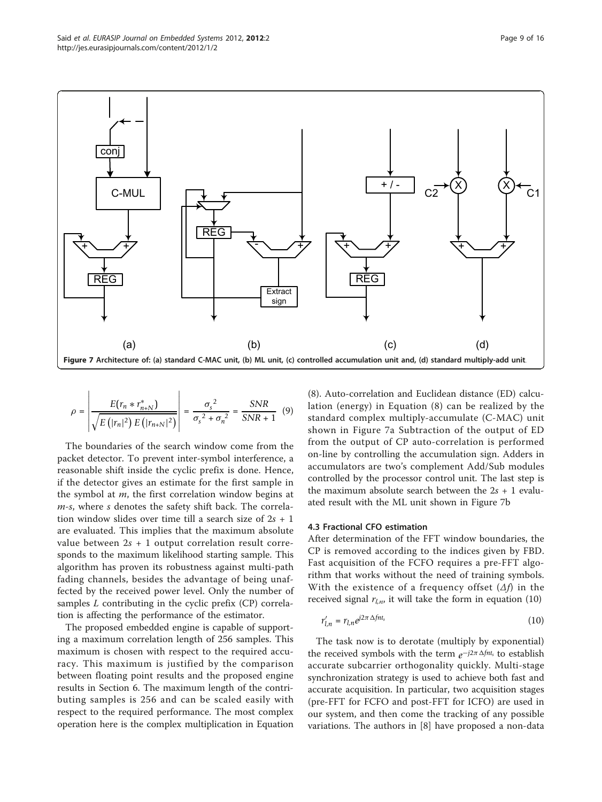<span id="page-8-0"></span>

$$
\rho = \left| \frac{E(r_n * r_{n+N}^*)}{\sqrt{E(|r_n|^2) E(|r_{n+N}|^2)}} \right| = \frac{\sigma_s^2}{\sigma_s^2 + \sigma_n^2} = \frac{SNR}{SNR + 1} \quad (9)
$$

The boundaries of the search window come from the packet detector. To prevent inter-symbol interference, a reasonable shift inside the cyclic prefix is done. Hence, if the detector gives an estimate for the first sample in the symbol at  $m$ , the first correlation window begins at  $m$ -s, where s denotes the safety shift back. The correlation window slides over time till a search size of  $2s + 1$ are evaluated. This implies that the maximum absolute value between  $2s + 1$  output correlation result corresponds to the maximum likelihood starting sample. This algorithm has proven its robustness against multi-path fading channels, besides the advantage of being unaffected by the received power level. Only the number of samples L contributing in the cyclic prefix (CP) correlation is affecting the performance of the estimator.

The proposed embedded engine is capable of supporting a maximum correlation length of 256 samples. This maximum is chosen with respect to the required accuracy. This maximum is justified by the comparison between floating point results and the proposed engine results in Section 6. The maximum length of the contributing samples is 256 and can be scaled easily with respect to the required performance. The most complex operation here is the complex multiplication in Equation

(8). Auto-correlation and Euclidean distance (ED) calculation (energy) in Equation (8) can be realized by the standard complex multiply-accumulate (C-MAC) unit shown in Figure 7a Subtraction of the output of ED from the output of CP auto-correlation is performed on-line by controlling the accumulation sign. Adders in accumulators are two's complement Add/Sub modules controlled by the processor control unit. The last step is the maximum absolute search between the  $2s + 1$  evaluated result with the ML unit shown in Figure 7b

#### 4.3 Fractional CFO estimation

After determination of the FFT window boundaries, the CP is removed according to the indices given by FBD. Fast acquisition of the FCFO requires a pre-FFT algorithm that works without the need of training symbols. With the existence of a frequency offset  $(\Delta f)$  in the received signal  $r_{lm}$ , it will take the form in equation (10)

$$
r'_{l,n} = r_{l,n} e^{j2\pi \Delta f n t_s} \tag{10}
$$

The task now is to derotate (multiply by exponential) the received symbols with the term  $e^{-j2π Δ fnt_s}$  to establish accurate subcarrier orthogonality quickly. Multi-stage synchronization strategy is used to achieve both fast and accurate acquisition. In particular, two acquisition stages (pre-FFT for FCFO and post-FFT for ICFO) are used in our system, and then come the tracking of any possible variations. The authors in [[8\]](#page-15-0) have proposed a non-data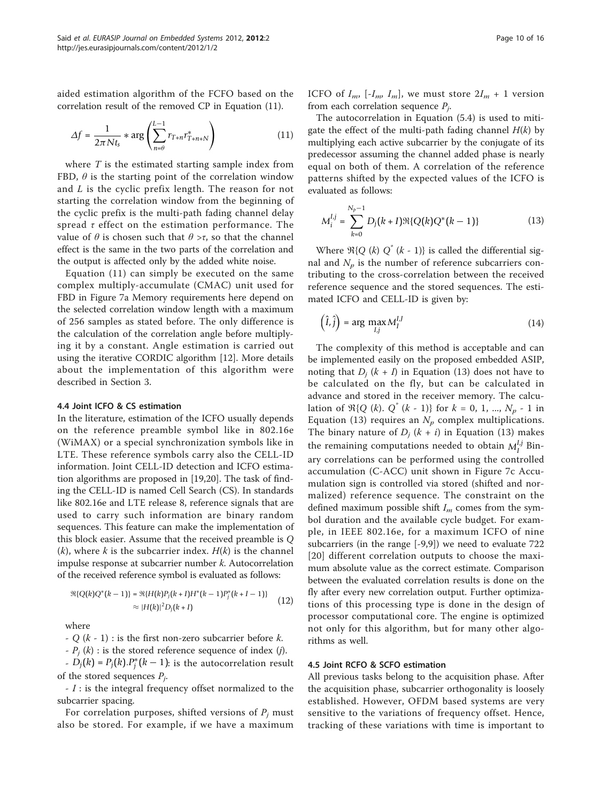aided estimation algorithm of the FCFO based on the correlation result of the removed CP in Equation (11).

$$
\Delta f = \frac{1}{2\pi N t_s} * \arg\left(\sum_{n=\theta}^{L-1} r_{T+n} r_{T+n+N}^*\right) \tag{11}
$$

where  $T$  is the estimated starting sample index from FBD,  $\theta$  is the starting point of the correlation window and L is the cyclic prefix length. The reason for not starting the correlation window from the beginning of the cyclic prefix is the multi-path fading channel delay spread  $\tau$  effect on the estimation performance. The value of  $\theta$  is chosen such that  $\theta > \tau$ , so that the channel effect is the same in the two parts of the correlation and the output is affected only by the added white noise.

Equation (11) can simply be executed on the same complex multiply-accumulate (CMAC) unit used for FBD in Figure [7a](#page-8-0) Memory requirements here depend on the selected correlation window length with a maximum of 256 samples as stated before. The only difference is the calculation of the correlation angle before multiplying it by a constant. Angle estimation is carried out using the iterative CORDIC algorithm [[12](#page-15-0)]. More details about the implementation of this algorithm were described in Section 3.

#### 4.4 Joint ICFO & CS estimation

In the literature, estimation of the ICFO usually depends on the reference preamble symbol like in 802.16e (WiMAX) or a special synchronization symbols like in LTE. These reference symbols carry also the CELL-ID information. Joint CELL-ID detection and ICFO estimation algorithms are proposed in [[19,20\]](#page-15-0). The task of finding the CELL-ID is named Cell Search (CS). In standards like 802.16e and LTE release 8, reference signals that are used to carry such information are binary random sequences. This feature can make the implementation of this block easier. Assume that the received preamble is Q ( $k$ ), where  $k$  is the subcarrier index.  $H(k)$  is the channel impulse response at subcarrier number k. Autocorrelation of the received reference symbol is evaluated as follows:

$$
\mathfrak{R}\{Q(k)Q^*(k-1)\} = \mathfrak{R}\{H(k)P_j(k+1)H^*(k-1)P_j^*(k+I-1)\}
$$
  
 
$$
\approx |H(k)|^2 D_j(k+I)
$$
 (12)

where

-  $Q$  ( $k$  - 1) : is the first non-zero subcarrier before  $k$ .

-  $P_i$  (k) : is the stored reference sequence of index (j).

-  $D_j(k) = P_j(k) \cdot P_j^*(k-1)$ : is the autocorrelation result of the stored sequences  $P_i$ .

 $-I$  : is the integral frequency offset normalized to the subcarrier spacing.

For correlation purposes, shifted versions of  $P_i$  must also be stored. For example, if we have a maximum

ICFO of  $I_m$ ,  $[-I_m, I_m]$ , we must store  $2I_m + 1$  version from each correlation sequence  $P_i$ .

The autocorrelation in Equation (5.4) is used to mitigate the effect of the multi-path fading channel  $H(k)$  by multiplying each active subcarrier by the conjugate of its predecessor assuming the channel added phase is nearly equal on both of them. A correlation of the reference patterns shifted by the expected values of the ICFO is evaluated as follows:

$$
M_i^{I,j} = \sum_{k=0}^{N_p - 1} D_j(k+I) \Re\{Q(k)Q^*(k-1)\}
$$
 (13)

Where  $\Re\{Q(k) Q^*(k-1)\}\$ is called the differential signal and  $N_p$  is the number of reference subcarriers contributing to the cross-correlation between the received reference sequence and the stored sequences. The estimated ICFO and CELL-ID is given by:

$$
\left(\hat{I},\hat{j}\right) = \arg\max_{I,j} M_I^{I,J} \tag{14}
$$

The complexity of this method is acceptable and can be implemented easily on the proposed embedded ASIP, noting that  $D_i$  ( $k + I$ ) in Equation (13) does not have to be calculated on the fly, but can be calculated in advance and stored in the receiver memory. The calculation of  $\Re\{Q(k), Q^*(k-1)\}\$  for  $k = 0, 1, ..., N_p - 1$  in Equation (13) requires an  $N_p$  complex multiplications. The binary nature of  $D_i$  ( $k + i$ ) in Equation (13) makes the remaining computations needed to obtain  $M_I^{I,j}$  Binary correlations can be performed using the controlled accumulation (C-ACC) unit shown in Figure [7c](#page-8-0) Accumulation sign is controlled via stored (shifted and normalized) reference sequence. The constraint on the defined maximum possible shift  $I_m$  comes from the symbol duration and the available cycle budget. For example, in IEEE 802.16e, for a maximum ICFO of nine subcarriers (in the range [-9,9]) we need to evaluate 722 [[20](#page-15-0)] different correlation outputs to choose the maximum absolute value as the correct estimate. Comparison between the evaluated correlation results is done on the fly after every new correlation output. Further optimizations of this processing type is done in the design of processor computational core. The engine is optimized not only for this algorithm, but for many other algorithms as well.

### 4.5 Joint RCFO & SCFO estimation

All previous tasks belong to the acquisition phase. After the acquisition phase, subcarrier orthogonality is loosely established. However, OFDM based systems are very sensitive to the variations of frequency offset. Hence, tracking of these variations with time is important to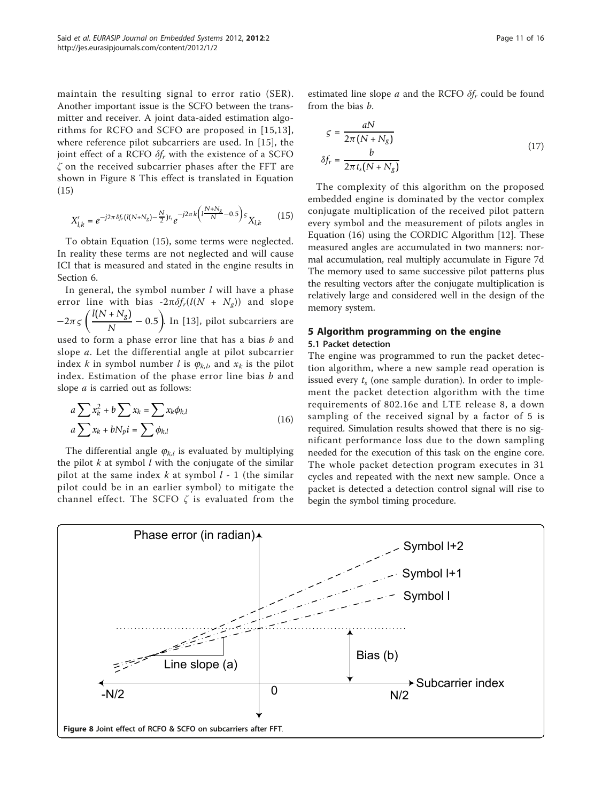maintain the resulting signal to error ratio (SER). Another important issue is the SCFO between the transmitter and receiver. A joint data-aided estimation algorithms for RCFO and SCFO are proposed in [\[15,13\]](#page-15-0), where reference pilot subcarriers are used. In [[15](#page-15-0)], the joint effect of a RCFO  $\delta f_r$  with the existence of a SCFO  $\zeta$  on the received subcarrier phases after the FFT are shown in Figure 8 This effect is translated in Equation (15)

$$
X'_{l,k} = e^{-j2\pi\delta f_r(l(N+N_g) - \frac{N}{2})t_s} e^{-j2\pi k \left(l\frac{N+N_g}{N} - 0.5\right)s} X_{l,k}
$$
 (15)

To obtain Equation (15), some terms were neglected. In reality these terms are not neglected and will cause ICI that is measured and stated in the engine results in Section 6.

In general, the symbol number  $l$  will have a phase error line with bias  $-2\pi\delta f_r(l(N+N_g))$  and slope  $-2π$ ς  $\left(\frac{l(N+N_g)}{N} - 0.5\right)$ . In [[13](#page-15-0)], pilot subcarriers are used to form a phase error line that has a bias b and slope a. Let the differential angle at pilot subcarrier index k in symbol number l is  $\varphi_{k,l}$ , and  $x_k$  is the pilot index. Estimation of the phase error line bias  $b$  and slope *a* is carried out as follows:

$$
a\sum x_k^2 + b\sum x_k = \sum x_k \phi_{k,l}
$$
  
\n
$$
a\sum x_k + bN_p i = \sum \phi_{k,l}
$$
\n(16)

The differential angle  $\varphi_{k,l}$  is evaluated by multiplying the pilot  $k$  at symbol  $l$  with the conjugate of the similar pilot at the same index  $k$  at symbol  $l - 1$  (the similar pilot could be in an earlier symbol) to mitigate the channel effect. The SCFO  $\zeta$  is evaluated from the

estimated line slope a and the RCFO  $\delta f_r$  could be found from the bias b.

$$
\zeta = \frac{aN}{2\pi (N + N_g)}
$$
  
\n
$$
\delta f_r = \frac{b}{2\pi t_s (N + N_g)}
$$
\n(17)

The complexity of this algorithm on the proposed embedded engine is dominated by the vector complex conjugate multiplication of the received pilot pattern every symbol and the measurement of pilots angles in Equation (16) using the CORDIC Algorithm [[12](#page-15-0)]. These measured angles are accumulated in two manners: normal accumulation, real multiply accumulate in Figure [7d](#page-8-0) The memory used to same successive pilot patterns plus the resulting vectors after the conjugate multiplication is relatively large and considered well in the design of the memory system.

# 5 Algorithm programming on the engine 5.1 Packet detection

The engine was programmed to run the packet detection algorithm, where a new sample read operation is issued every  $t_s$  (one sample duration). In order to implement the packet detection algorithm with the time requirements of 802.16e and LTE release 8, a down sampling of the received signal by a factor of 5 is required. Simulation results showed that there is no significant performance loss due to the down sampling needed for the execution of this task on the engine core. The whole packet detection program executes in 31 cycles and repeated with the next new sample. Once a packet is detected a detection control signal will rise to begin the symbol timing procedure.

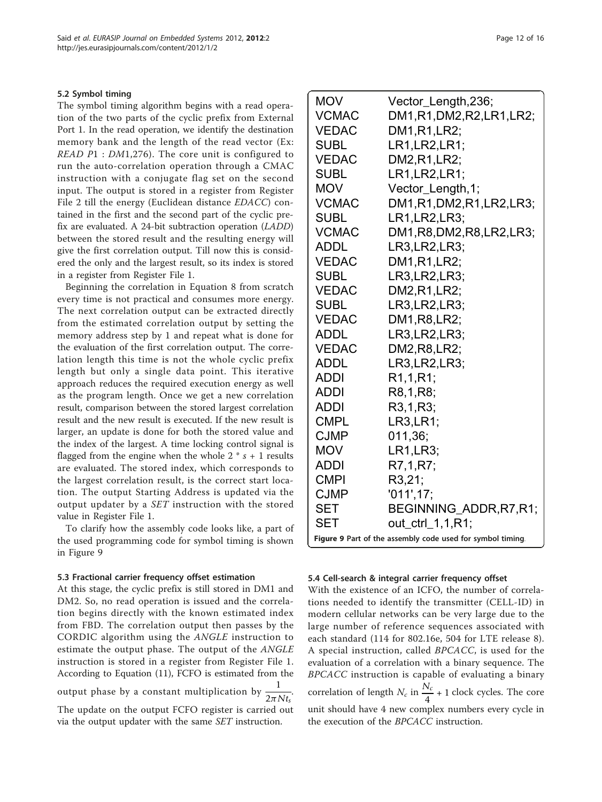#### 5.2 Symbol timing

The symbol timing algorithm begins with a read operation of the two parts of the cyclic prefix from External Port 1. In the read operation, we identify the destination memory bank and the length of the read vector (Ex: READ P1 : DM1,276). The core unit is configured to run the auto-correlation operation through a CMAC instruction with a conjugate flag set on the second input. The output is stored in a register from Register File 2 till the energy (Euclidean distance EDACC) contained in the first and the second part of the cyclic prefix are evaluated. A 24-bit subtraction operation (LADD) between the stored result and the resulting energy will give the first correlation output. Till now this is considered the only and the largest result, so its index is stored in a register from Register File 1.

Beginning the correlation in Equation 8 from scratch every time is not practical and consumes more energy. The next correlation output can be extracted directly from the estimated correlation output by setting the memory address step by 1 and repeat what is done for the evaluation of the first correlation output. The correlation length this time is not the whole cyclic prefix length but only a single data point. This iterative approach reduces the required execution energy as well as the program length. Once we get a new correlation result, comparison between the stored largest correlation result and the new result is executed. If the new result is larger, an update is done for both the stored value and the index of the largest. A time locking control signal is flagged from the engine when the whole  $2 * s + 1$  results are evaluated. The stored index, which corresponds to the largest correlation result, is the correct start location. The output Starting Address is updated via the output updater by a SET instruction with the stored value in Register File 1.

To clarify how the assembly code looks like, a part of the used programming code for symbol timing is shown in Figure 9

#### 5.3 Fractional carrier frequency offset estimation

At this stage, the cyclic prefix is still stored in DM1 and DM2. So, no read operation is issued and the correlation begins directly with the known estimated index from FBD. The correlation output then passes by the CORDIC algorithm using the ANGLE instruction to estimate the output phase. The output of the ANGLE instruction is stored in a register from Register File 1. According to Equation (11), FCFO is estimated from the output phase by a constant multiplication by  $\frac{1}{2\pi N t_s}$ . The update on the output FCFO register is carried out via the output updater with the same SET instruction.

| <b>MOV</b>   | Vector_Length,236;                                         |
|--------------|------------------------------------------------------------|
| <b>VCMAC</b> | DM1,R1,DM2,R2,LR1,LR2;                                     |
| <b>VEDAC</b> | DM1, R1, LR2;                                              |
| <b>SUBL</b>  | LR1, LR2, LR1;                                             |
| <b>VEDAC</b> | DM2, R1, LR2;                                              |
| <b>SUBL</b>  | LR1, LR2, LR1;                                             |
| <b>MOV</b>   | Vector_Length,1;                                           |
| <b>VCMAC</b> | DM1,R1,DM2,R1,LR2,LR3;                                     |
| <b>SUBL</b>  | LR1, LR2, LR3;                                             |
| <b>VCMAC</b> | DM1, R8, DM2, R8, LR2, LR3;                                |
| <b>ADDL</b>  | LR3, LR2, LR3;                                             |
| <b>VEDAC</b> | DM1, R1, LR2;                                              |
| <b>SUBL</b>  | LR3, LR2, LR3;                                             |
| <b>VEDAC</b> | DM2, R1, LR2;                                              |
| <b>SUBL</b>  | LR3, LR2, LR3;                                             |
| <b>VEDAC</b> | DM1, R8, LR2;                                              |
| <b>ADDL</b>  | LR3, LR2, LR3;                                             |
| <b>VEDAC</b> | DM2, R8, LR2;                                              |
| <b>ADDL</b>  | LR3, LR2, LR3;                                             |
| <b>ADDI</b>  | R1,1,R1;                                                   |
| <b>ADDI</b>  | R8,1,R8;                                                   |
| <b>ADDI</b>  | R3,1,R3;                                                   |
| <b>CMPL</b>  | LR3, LR1;                                                  |
| <b>CJMP</b>  | 011,36;                                                    |
| <b>MOV</b>   | LR1, LR3;                                                  |
| <b>ADDI</b>  | R7,1,R7;                                                   |
| <b>CMPI</b>  | R <sub>3</sub> ,21;                                        |
| <b>CJMP</b>  | '011', 17;                                                 |
| <b>SET</b>   | BEGINNING_ADDR,R7,R1;                                      |
| <b>SET</b>   | out_ctrl_1,1,R1;                                           |
|              | Figure 9 Part of the assembly code used for symbol timing. |

### 5.4 Cell-search & integral carrier frequency offset

With the existence of an ICFO, the number of correlations needed to identify the transmitter (CELL-ID) in modern cellular networks can be very large due to the large number of reference sequences associated with each standard (114 for 802.16e, 504 for LTE release 8). A special instruction, called BPCACC, is used for the evaluation of a correlation with a binary sequence. The BPCACC instruction is capable of evaluating a binary correlation of length  $N_c$  in  $\frac{N_c}{4}$  + 1 clock cycles. The core unit should have 4 new complex numbers every cycle in the execution of the BPCACC instruction.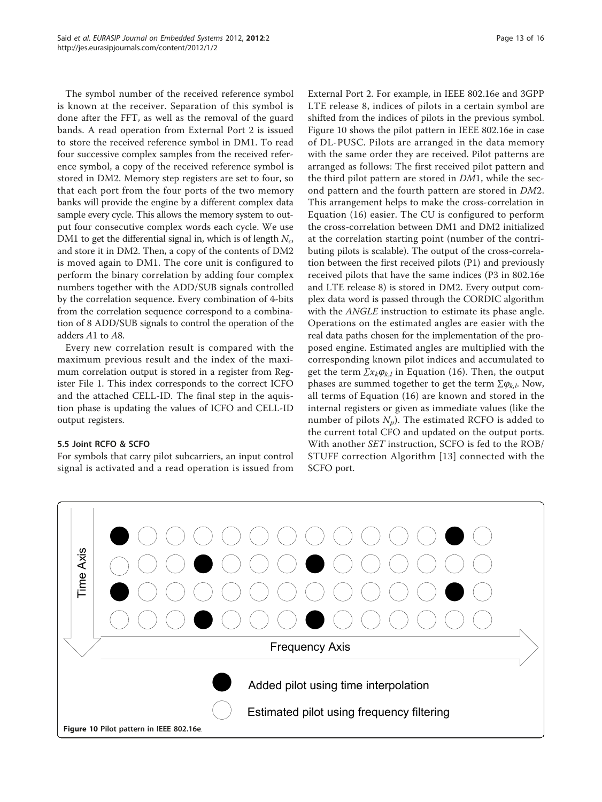<span id="page-12-0"></span>The symbol number of the received reference symbol is known at the receiver. Separation of this symbol is done after the FFT, as well as the removal of the guard bands. A read operation from External Port 2 is issued to store the received reference symbol in DM1. To read four successive complex samples from the received reference symbol, a copy of the received reference symbol is stored in DM2. Memory step registers are set to four, so that each port from the four ports of the two memory banks will provide the engine by a different complex data sample every cycle. This allows the memory system to output four consecutive complex words each cycle. We use DM1 to get the differential signal in, which is of length  $N_c$ , and store it in DM2. Then, a copy of the contents of DM2 is moved again to DM1. The core unit is configured to perform the binary correlation by adding four complex numbers together with the ADD/SUB signals controlled by the correlation sequence. Every combination of 4-bits from the correlation sequence correspond to a combination of 8 ADD/SUB signals to control the operation of the adders A1 to A8.

Every new correlation result is compared with the maximum previous result and the index of the maximum correlation output is stored in a register from Register File 1. This index corresponds to the correct ICFO and the attached CELL-ID. The final step in the aquistion phase is updating the values of ICFO and CELL-ID output registers.

## 5.5 Joint RCFO & SCFO

For symbols that carry pilot subcarriers, an input control signal is activated and a read operation is issued from External Port 2. For example, in IEEE 802.16e and 3GPP LTE release 8, indices of pilots in a certain symbol are shifted from the indices of pilots in the previous symbol. Figure 10 shows the pilot pattern in IEEE 802.16e in case of DL-PUSC. Pilots are arranged in the data memory with the same order they are received. Pilot patterns are arranged as follows: The first received pilot pattern and the third pilot pattern are stored in DM1, while the second pattern and the fourth pattern are stored in DM2. This arrangement helps to make the cross-correlation in Equation (16) easier. The CU is configured to perform the cross-correlation between DM1 and DM2 initialized at the correlation starting point (number of the contributing pilots is scalable). The output of the cross-correlation between the first received pilots (P1) and previously received pilots that have the same indices (P3 in 802.16e and LTE release 8) is stored in DM2. Every output complex data word is passed through the CORDIC algorithm with the *ANGLE* instruction to estimate its phase angle. Operations on the estimated angles are easier with the real data paths chosen for the implementation of the proposed engine. Estimated angles are multiplied with the corresponding known pilot indices and accumulated to get the term  $\sum x_k \varphi_{k,l}$  in Equation (16). Then, the output phases are summed together to get the term  $\Sigma \varphi_{k,l}$ . Now, all terms of Equation (16) are known and stored in the internal registers or given as immediate values (like the number of pilots  $N_p$ ). The estimated RCFO is added to the current total CFO and updated on the output ports. With another SET instruction, SCFO is fed to the ROB/ STUFF correction Algorithm [[13](#page-15-0)] connected with the SCFO port.

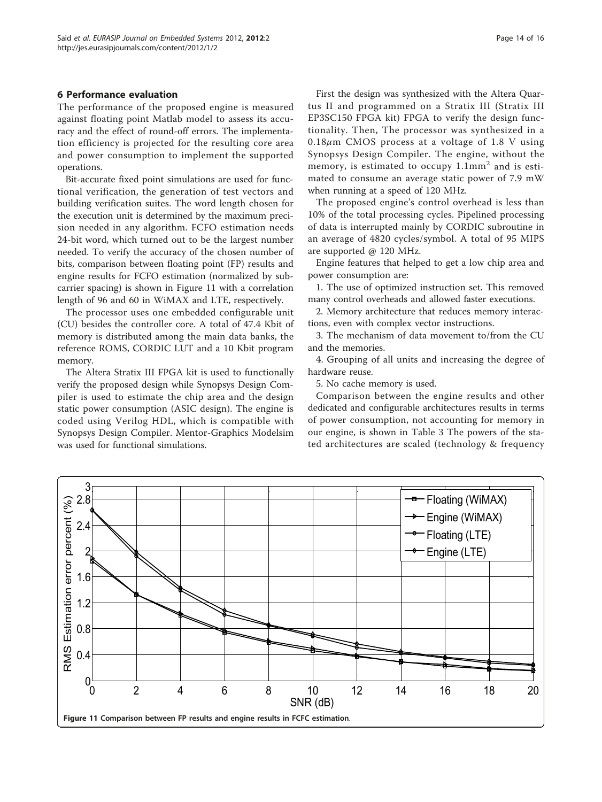### 6 Performance evaluation

The performance of the proposed engine is measured against floating point Matlab model to assess its accuracy and the effect of round-off errors. The implementation efficiency is projected for the resulting core area and power consumption to implement the supported operations.

Bit-accurate fixed point simulations are used for functional verification, the generation of test vectors and building verification suites. The word length chosen for the execution unit is determined by the maximum precision needed in any algorithm. FCFO estimation needs 24-bit word, which turned out to be the largest number needed. To verify the accuracy of the chosen number of bits, comparison between floating point (FP) results and engine results for FCFO estimation (normalized by subcarrier spacing) is shown in Figure 11 with a correlation length of 96 and 60 in WiMAX and LTE, respectively.

The processor uses one embedded configurable unit (CU) besides the controller core. A total of 47.4 Kbit of memory is distributed among the main data banks, the reference ROMS, CORDIC LUT and a 10 Kbit program memory.

The Altera Stratix III FPGA kit is used to functionally verify the proposed design while Synopsys Design Compiler is used to estimate the chip area and the design static power consumption (ASIC design). The engine is coded using Verilog HDL, which is compatible with Synopsys Design Compiler. Mentor-Graphics Modelsim was used for functional simulations.

First the design was synthesized with the Altera Quartus II and programmed on a Stratix III (Stratix III EP3SC150 FPGA kit) FPGA to verify the design functionality. Then, The processor was synthesized in a  $0.18\mu$ m CMOS process at a voltage of 1.8 V using Synopsys Design Compiler. The engine, without the memory, is estimated to occupy  $1.1$ mm<sup>2</sup> and is estimated to consume an average static power of 7.9 mW when running at a speed of 120 MHz.

The proposed engine's control overhead is less than 10% of the total processing cycles. Pipelined processing of data is interrupted mainly by CORDIC subroutine in an average of 4820 cycles/symbol. A total of 95 MIPS are supported @ 120 MHz.

Engine features that helped to get a low chip area and power consumption are:

1. The use of optimized instruction set. This removed many control overheads and allowed faster executions.

2. Memory architecture that reduces memory interactions, even with complex vector instructions.

3. The mechanism of data movement to/from the CU and the memories.

4. Grouping of all units and increasing the degree of hardware reuse.

5. No cache memory is used.

Comparison between the engine results and other dedicated and configurable architectures results in terms of power consumption, not accounting for memory in our engine, is shown in Table [3](#page-14-0) The powers of the stated architectures are scaled (technology & frequency

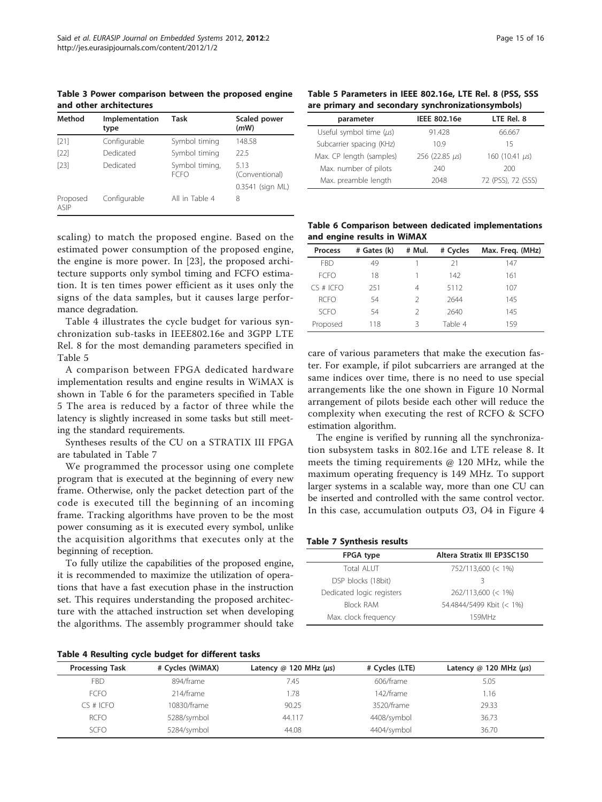<span id="page-14-0"></span>Table 3 Power comparison between the proposed engine and other architectures

| Method           | Implementation<br>type | Task                          | Scaled power<br>(mW)  |
|------------------|------------------------|-------------------------------|-----------------------|
| $[21]$           | Configurable           | Symbol timing                 | 148.58                |
| $[22]$           | Dedicated              | Symbol timing                 | 22.5                  |
| $[23]$           | Dedicated              | Symbol timing,<br><b>FCFO</b> | 513<br>(Conventional) |
|                  |                        |                               | 0.3541 (sign ML)      |
| Proposed<br>ASIP | Configurable           | All in Table 4                | 8                     |

scaling) to match the proposed engine. Based on the estimated power consumption of the proposed engine, the engine is more power. In [[23\]](#page-15-0), the proposed architecture supports only symbol timing and FCFO estimation. It is ten times power efficient as it uses only the signs of the data samples, but it causes large performance degradation.

Table 4 illustrates the cycle budget for various synchronization sub-tasks in IEEE802.16e and 3GPP LTE Rel. 8 for the most demanding parameters specified in Table 5

A comparison between FPGA dedicated hardware implementation results and engine results in WiMAX is shown in Table 6 for the parameters specified in Table 5 The area is reduced by a factor of three while the latency is slightly increased in some tasks but still meeting the standard requirements.

Syntheses results of the CU on a STRATIX III FPGA are tabulated in Table 7

We programmed the processor using one complete program that is executed at the beginning of every new frame. Otherwise, only the packet detection part of the code is executed till the beginning of an incoming frame. Tracking algorithms have proven to be the most power consuming as it is executed every symbol, unlike the acquisition algorithms that executes only at the beginning of reception.

To fully utilize the capabilities of the proposed engine, it is recommended to maximize the utilization of operations that have a fast execution phase in the instruction set. This requires understanding the proposed architecture with the attached instruction set when developing the algorithms. The assembly programmer should take

Table 4 Resulting cycle budget for different tasks

| <b>Processing Task</b> | # Cycles (WiMAX) | Latency $@ 120 \text{ MHz } (\mu s)$ | # Cycles (LTE) | Latency $\omega$ 120 MHz ( $\mu$ s) |
|------------------------|------------------|--------------------------------------|----------------|-------------------------------------|
| <b>FBD</b>             | 894/frame        | 7.45                                 | 606/frame      | 5.05                                |
| <b>FCFO</b>            | 214/frame        | .78                                  | 142/frame      | 1.16                                |
| CS # ICFO              | 10830/frame      | 90.25                                | 3520/frame     | 29.33                               |
| <b>RCFO</b>            | 5288/symbol      | 44.117                               | 4408/symbol    | 36.73                               |
| <b>SCFO</b>            | 5284/symbol      | 44.08                                | 4404/symbol    | 36.70                               |

Page 15 of 16

|  |  |  | Table 5 Parameters in IEEE 802.16e, LTE Rel. 8 (PSS, SSS |  |  |  |
|--|--|--|----------------------------------------------------------|--|--|--|
|  |  |  | are primary and secondary synchronizationsymbols)        |  |  |  |

| parameter                    | IEEE 802.16e        | LTE Rel. 8            |
|------------------------------|---------------------|-----------------------|
| Useful symbol time $(\mu s)$ | 91.428              | 66.667                |
| Subcarrier spacing (KHz)     | 109                 | 15                    |
| Max. CP length (samples)     | 256 (22.85 $\mu$ s) | 160 $(10.41 \,\mu s)$ |
| Max. number of pilots        | 240                 | 200                   |
| Max. preamble length         | 2048                | 72 (PSS), 72 (SSS)    |

Table 6 Comparison between dedicated implementations and engine results in WiMAX

| <b>Process</b> | # Gates (k) | # Mul. | # Cycles | Max. Freq. (MHz) |
|----------------|-------------|--------|----------|------------------|
| <b>FBD</b>     | 49          |        | 21       | 147              |
| <b>FCFO</b>    | 18          |        | 142      | 161              |
| CS # ICEO      | 251         | 4      | 5112     | 107              |
| <b>RCFO</b>    | 54          | 2      | 2644     | 145              |
| <b>SCEO</b>    | 54          |        | 2640     | 145              |
| Proposed       | 118         | ζ      | Table 4  | 159              |

care of various parameters that make the execution faster. For example, if pilot subcarriers are arranged at the same indices over time, there is no need to use special arrangements like the one shown in Figure [10](#page-12-0) Normal arrangement of pilots beside each other will reduce the complexity when executing the rest of RCFO & SCFO estimation algorithm.

The engine is verified by running all the synchronization subsystem tasks in 802.16e and LTE release 8. It meets the timing requirements @ 120 MHz, while the maximum operating frequency is 149 MHz. To support larger systems in a scalable way, more than one CU can be inserted and controlled with the same control vector. In this case, accumulation outputs O3, O4 in Figure [4](#page-4-0)

Table 7 Synthesis results

| FPGA type                 | Altera Stratix III EP3SC150 |
|---------------------------|-----------------------------|
| Total ALUT                | 752/113,600 (< 1%)          |
| DSP blocks (18bit)        | ੨                           |
| Dedicated logic registers | $262/113,600 (< 1\%)$       |
| <b>Block RAM</b>          | 54.4844/5499 Kbit (< 1%)    |
| Max. clock frequency      | 159MHz                      |
|                           |                             |